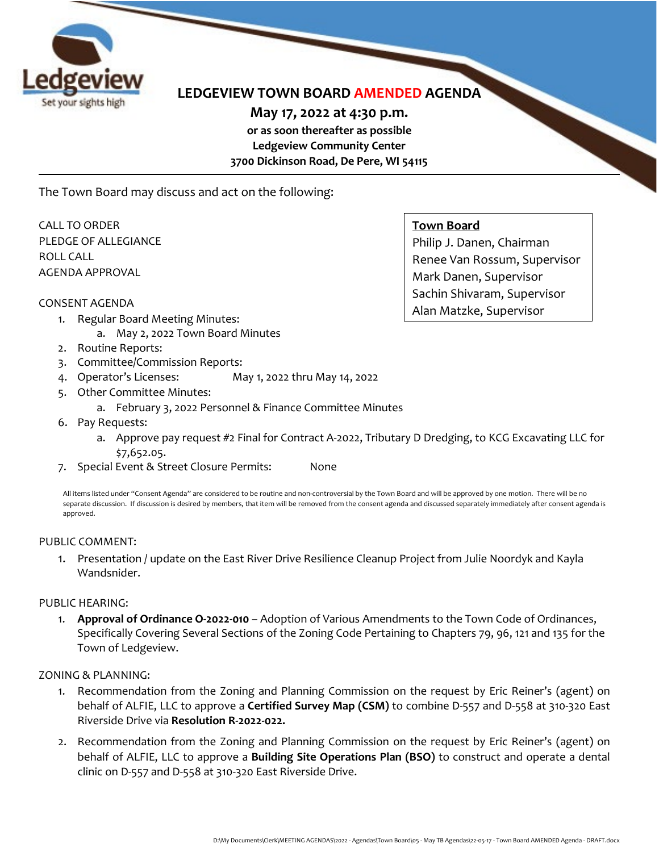

# **LEDGEVIEW TOWN BOARD AMENDED AGENDA**

**May 17, 2022 at 4:30 p.m. or as soon thereafter as possible Ledgeview Community Center 3700 Dickinson Road, De Pere, WI 54115**

The Town Board may discuss and act on the following:

CALL TO ORDER PLEDGE OF ALLEGIANCE ROLL CALL AGENDA APPROVAL

#### CONSENT AGENDA

- 1. Regular Board Meeting Minutes:
	- a. May 2, 2022 Town Board Minutes
- 2. Routine Reports:
- 3. Committee/Commission Reports:
- 4. Operator's Licenses: May 1, 2022 thru May 14, 2022
- 5. Other Committee Minutes:
	- a. February 3, 2022 Personnel & Finance Committee Minutes
- 6. Pay Requests:
	- a. Approve pay request #2 Final for Contract A-2022, Tributary D Dredging, to KCG Excavating LLC for \$7,652.05.
- 7. Special Event & Street Closure Permits: None

All items listed under "Consent Agenda" are considered to be routine and non-controversial by the Town Board and will be approved by one motion. There will be no separate discussion. If discussion is desired by members, that item will be removed from the consent agenda and discussed separately immediately after consent agenda is approved.

#### PUBLIC COMMENT:

1. Presentation / update on the East River Drive Resilience Cleanup Project from Julie Noordyk and Kayla Wandsnider.

#### PUBLIC HEARING:

1. **Approval of Ordinance O-2022-010** – Adoption of Various Amendments to the Town Code of Ordinances, Specifically Covering Several Sections of the Zoning Code Pertaining to Chapters 79, 96, 121 and 135 for the Town of Ledgeview.

ZONING & PLANNING:

- 1. Recommendation from the Zoning and Planning Commission on the request by Eric Reiner's (agent) on behalf of ALFIE, LLC to approve a **Certified Survey Map (CSM)** to combine D-557 and D-558 at 310-320 East Riverside Drive via **Resolution R-2022-022.**
- 2. Recommendation from the Zoning and Planning Commission on the request by Eric Reiner's (agent) on behalf of ALFIE, LLC to approve a **Building Site Operations Plan (BSO)** to construct and operate a dental clinic on D-557 and D-558 at 310-320 East Riverside Drive.

# **Town Board**

Philip J. Danen, Chairman Renee Van Rossum, Supervisor Mark Danen, Supervisor Sachin Shivaram, Supervisor Alan Matzke, Supervisor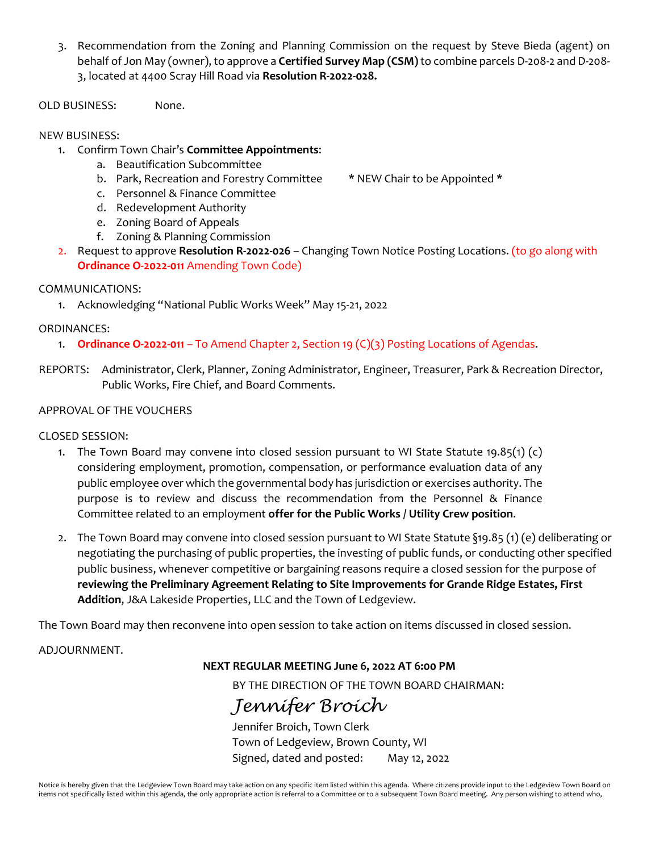- 3. Recommendation from the Zoning and Planning Commission on the request by Steve Bieda (agent) on behalf of Jon May (owner), to approve a **Certified Survey Map (CSM)**to combine parcels D-208-2 and D-208- 3, located at 4400 Scray Hill Road via **Resolution R-2022-028.**
- OLD BUSINESS: None.

# NEW BUSINESS:

- 1. Confirm Town Chair's **Committee Appointments**:
	- a. Beautification Subcommittee
	- b. Park, Recreation and Forestry Committee \* NEW Chair to be Appointed \*
- - c. Personnel & Finance Committee
	- d. Redevelopment Authority
	- e. Zoning Board of Appeals
	- f. Zoning & Planning Commission
- 2. Request to approve **Resolution R-2022-026** Changing Town Notice Posting Locations. (to go along with **Ordinance O-2022-011** Amending Town Code)

## COMMUNICATIONS:

1. Acknowledging "National Public Works Week" May 15-21, 2022

## ORDINANCES:

- 1. **Ordinance O-2022-011** To Amend Chapter 2, Section 19 (C)(3) Posting Locations of Agendas.
- REPORTS: Administrator, Clerk, Planner, Zoning Administrator, Engineer, Treasurer, Park & Recreation Director, Public Works, Fire Chief, and Board Comments.

## APPROVAL OF THE VOUCHERS

#### CLOSED SESSION:

- 1. The Town Board may convene into closed session pursuant to WI State Statute 19.85(1) (c) considering employment, promotion, compensation, or performance evaluation data of any public employee over which the governmental body has jurisdiction or exercises authority. The purpose is to review and discuss the recommendation from the Personnel & Finance Committee related to an employment **offer for the Public Works / Utility Crew position**.
- 2. The Town Board may convene into closed session pursuant to WI State Statute §19.85 (1) (e) deliberating or negotiating the purchasing of public properties, the investing of public funds, or conducting other specified public business, whenever competitive or bargaining reasons require a closed session for the purpose of **reviewing the Preliminary Agreement Relating to Site Improvements for Grande Ridge Estates, First Addition**, J&A Lakeside Properties, LLC and the Town of Ledgeview.

The Town Board may then reconvene into open session to take action on items discussed in closed session.

#### ADJOURNMENT.

# **NEXT REGULAR MEETING June 6, 2022 AT 6:00 PM**

BY THE DIRECTION OF THE TOWN BOARD CHAIRMAN:

# *Jennifer Broich*

Jennifer Broich, Town Clerk Town of Ledgeview, Brown County, WI Signed, dated and posted: May 12, 2022